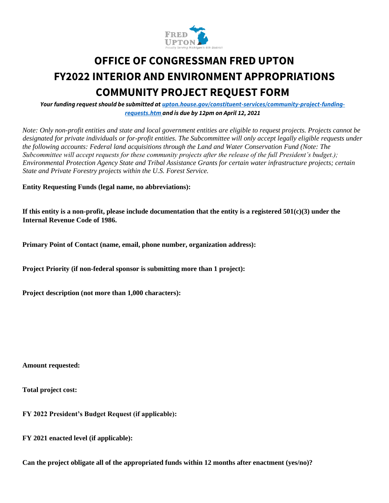

# **OFFICE OF CONGRESSMAN FRED UPTON FY2022 INTERIOR AND ENVIRONMENT APPROPRIATIONS COMMUNITY PROJECT REQUEST FORM**

*Your funding request should be submitted at upton.house.gov/constituent-services/community-project-fundingrequests.htm and is due by 12pm on April 12, 2021*

*Note: Only non-profit entities and state and local government entities are eligible to request projects. Projects cannot be designated for private individuals or for-profit entities. The Subcommittee will only accept legally eligible requests under the following accounts: Federal land acquisitions through the Land and Water Conservation Fund (Note: The Subcommittee will accept requests for these community projects after the release of the full President's budget.); Environmental Protection Agency State and Tribal Assistance Grants for certain water infrastructure projects; certain State and Private Forestry projects within the U.S. Forest Service.* 

**Entity Requesting Funds (legal name, no abbreviations):** 

**If this entity is a non-profit, please include documentation that the entity is a registered 501(c)(3) under the Internal Revenue Code of 1986.** 

**Primary Point of Contact (name, email, phone number, organization address):** 

**Project Priority (if non-federal sponsor is submitting more than 1 project):** 

**Project description (not more than 1,000 characters):** 

**Amount requested:** 

**Total project cost:** 

**FY 2022 President's Budget Request (if applicable):** 

**FY 2021 enacted level (if applicable):** 

**Can the project obligate all of the appropriated funds within 12 months after enactment (yes/no)?**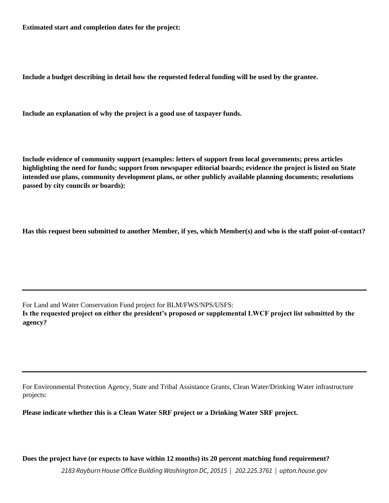**Estimated start and completion dates for the project:** 

**Include a budget describing in detail how the requested federal funding will be used by the grantee.** 

**Include an explanation of why the project is a good use of taxpayer funds.** 

**Include evidence of community support (examples: letters of support from local governments; press articles highlighting the need for funds; support from newspaper editorial boards; evidence the project is listed on State intended use plans, community development plans, or other publicly available planning documents; resolutions passed by city councils or boards):** 

**Has this request been submitted to another Member, if yes, which Member(s) and who is the staff point-of-contact?** 

For Land and Water Conservation Fund project for BLM/FWS/NPS/USFS:

**Is the requested project on either the president's proposed or supplemental LWCF project list submitted by the agency?** 

For Environmental Protection Agency, State and Tribal Assistance Grants, Clean Water/Drinking Water infrastructure projects:

**Please indicate whether this is a Clean Water SRF project or a Drinking Water SRF project.** 

**Does the project have (or expects to have within 12 months) its 20 percent matching fund requirement?** 

*2183 Rayburn House Office Building Washington DC, 20515 | 202.225.3761 | upton.house.gov*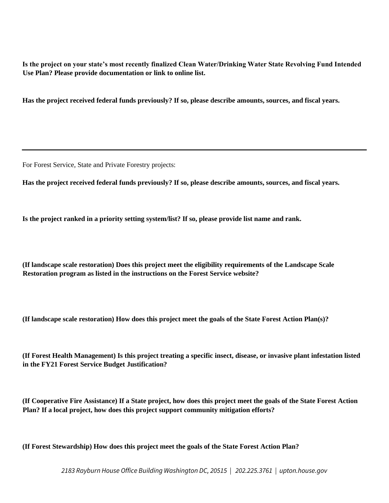**Is the project on your state's most recently finalized Clean Water/Drinking Water State Revolving Fund Intended Use Plan? Please provide documentation or link to online list.** 

**Has the project received federal funds previously? If so, please describe amounts, sources, and fiscal years.** 

For Forest Service, State and Private Forestry projects:

**Has the project received federal funds previously? If so, please describe amounts, sources, and fiscal years.** 

**Is the project ranked in a priority setting system/list? If so, please provide list name and rank.** 

**(If landscape scale restoration) Does this project meet the eligibility requirements of the Landscape Scale Restoration program as listed in the instructions on the Forest Service website?** 

**(If landscape scale restoration) How does this project meet the goals of the State Forest Action Plan(s)?** 

**(If Forest Health Management) Is this project treating a specific insect, disease, or invasive plant infestation listed in the FY21 Forest Service Budget Justification?** 

**(If Cooperative Fire Assistance) If a State project, how does this project meet the goals of the State Forest Action Plan? If a local project, how does this project support community mitigation efforts?** 

**(If Forest Stewardship) How does this project meet the goals of the State Forest Action Plan?**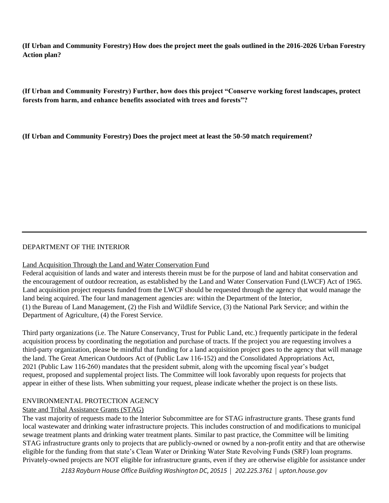**(If Urban and Community Forestry) How does the project meet the goals outlined in the 2016-2026 Urban Forestry Action plan?** 

**(If Urban and Community Forestry) Further, how does this project "Conserve working forest landscapes, protect forests from harm, and enhance benefits associated with trees and forests"?** 

**(If Urban and Community Forestry) Does the project meet at least the 50-50 match requirement?** 

## DEPARTMENT OF THE INTERIOR

#### Land Acquisition Through the Land and Water Conservation Fund

Federal acquisition of lands and water and interests therein must be for the purpose of land and habitat conservation and the encouragement of outdoor recreation, as established by the Land and Water Conservation Fund (LWCF) Act of 1965. Land acquisition project requests funded from the LWCF should be requested through the agency that would manage the land being acquired. The four land management agencies are: within the Department of the Interior, (1) the Bureau of Land Management, (2) the Fish and Wildlife Service, (3) the National Park Service; and within the Department of Agriculture, (4) the Forest Service.

Third party organizations (i.e. The Nature Conservancy, Trust for Public Land, etc.) frequently participate in the federal acquisition process by coordinating the negotiation and purchase of tracts. If the project you are requesting involves a third-party organization, please be mindful that funding for a land acquisition project goes to the agency that will manage the land. The Great American Outdoors Act of (Public Law 116-152) and the Consolidated Appropriations Act, 2021 (Public Law 116-260) mandates that the president submit, along with the upcoming fiscal year's budget request, proposed and supplemental project lists. The Committee will look favorably upon requests for projects that appear in either of these lists. When submitting your request, please indicate whether the project is on these lists.

#### ENVIRONMENTAL PROTECTION AGENCY

# State and Tribal Assistance Grants (STAG)

The vast majority of requests made to the Interior Subcommittee are for STAG infrastructure grants. These grants fund local wastewater and drinking water infrastructure projects. This includes construction of and modifications to municipal sewage treatment plants and drinking water treatment plants. Similar to past practice, the Committee will be limiting STAG infrastructure grants only to projects that are publicly-owned or owned by a non-profit entity and that are otherwise eligible for the funding from that state's Clean Water or Drinking Water State Revolving Funds (SRF) loan programs. Privately-owned projects are NOT eligible for infrastructure grants, even if they are otherwise eligible for assistance under

*2183 Rayburn House Office Building Washington DC, 20515 | 202.225.3761 | upton.house.gov*